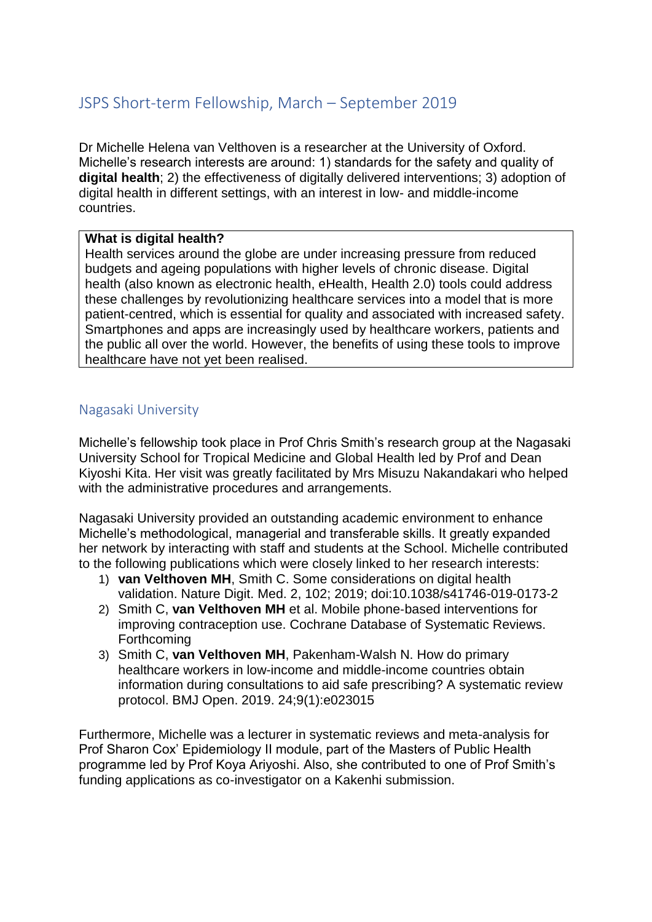## JSPS Short-term Fellowship, March – September 2019

Dr Michelle Helena van Velthoven is a researcher at the University of Oxford. Michelle's research interests are around: 1) standards for the safety and quality of **digital health**; 2) the effectiveness of digitally delivered interventions; 3) adoption of digital health in different settings, with an interest in low- and middle-income countries.

## **What is digital health?**

Health services around the globe are under increasing pressure from reduced budgets and ageing populations with higher levels of chronic disease. Digital health (also known as electronic health, eHealth, Health 2.0) tools could address these challenges by revolutionizing healthcare services into a model that is more patient-centred, which is essential for quality and associated with increased safety. Smartphones and apps are increasingly used by healthcare workers, patients and the public all over the world. However, the benefits of using these tools to improve healthcare have not yet been realised.

## Nagasaki University

Michelle's fellowship took place in Prof Chris Smith's research group at the Nagasaki University School for Tropical Medicine and Global Health led by Prof and Dean Kiyoshi Kita. Her visit was greatly facilitated by Mrs Misuzu Nakandakari who helped with the administrative procedures and arrangements.

Nagasaki University provided an outstanding academic environment to enhance Michelle's methodological, managerial and transferable skills. It greatly expanded her network by interacting with staff and students at the School. Michelle contributed to the following publications which were closely linked to her research interests:

- 1) **van Velthoven MH**, Smith C. Some considerations on digital health validation. Nature Digit. Med. 2, 102; 2019; doi:10.1038/s41746-019-0173-2
- 2) Smith C, **van Velthoven MH** et al. Mobile phone‐based interventions for improving contraception use. Cochrane Database of Systematic Reviews. Forthcoming
- 3) Smith C, **van Velthoven MH**, Pakenham-Walsh N. How do primary healthcare workers in low-income and middle-income countries obtain information during consultations to aid safe prescribing? A systematic review protocol. BMJ Open. 2019. 24;9(1):e023015

Furthermore, Michelle was a lecturer in systematic reviews and meta-analysis for Prof Sharon Cox' Epidemiology II module, part of the Masters of Public Health programme led by Prof Koya Ariyoshi. Also, she contributed to one of Prof Smith's funding applications as co-investigator on a Kakenhi submission.